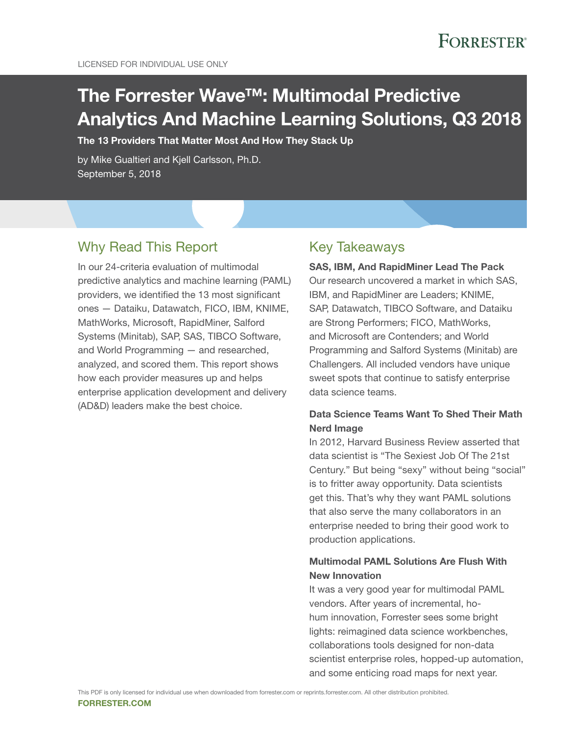# The Forrester Wave™: Multimodal Predictive Analytics And Machine Learning Solutions, Q3 2018

The 13 Providers That Matter Most And How They Stack Up

by Mike Gualtieri and Kjell Carlsson, Ph.D. September 5, 2018

### Why Read This Report

In our 24-criteria evaluation of multimodal predictive analytics and machine learning (PAML) providers, we identified the 13 most significant ones — Dataiku, Datawatch, FICO, IBM, KNIME, MathWorks, Microsoft, RapidMiner, Salford Systems (Minitab), SAP, SAS, TIBCO Software, and World Programming — and researched, analyzed, and scored them. This report shows how each provider measures up and helps enterprise application development and delivery (AD&D) leaders make the best choice.

### Key Takeaways

SAS, IBM, And RapidMiner Lead The Pack Our research uncovered a market in which SAS, IBM, and RapidMiner are Leaders; KNIME, SAP, Datawatch, TIBCO Software, and Dataiku are Strong Performers; FICO, MathWorks, and Microsoft are Contenders; and World Programming and Salford Systems (Minitab) are Challengers. All included vendors have unique sweet spots that continue to satisfy enterprise data science teams.

### Data Science Teams Want To Shed Their Math Nerd Image

In 2012, Harvard Business Review asserted that data scientist is "The Sexiest Job Of The 21st Century." But being "sexy" without being "social" is to fritter away opportunity. Data scientists get this. That's why they want PAML solutions that also serve the many collaborators in an enterprise needed to bring their good work to production applications.

### Multimodal PAML Solutions Are Flush With New Innovation

It was a very good year for multimodal PAML vendors. After years of incremental, hohum innovation, Forrester sees some bright lights: reimagined data science workbenches, collaborations tools designed for non-data scientist enterprise roles, hopped-up automation, and some enticing road maps for next year.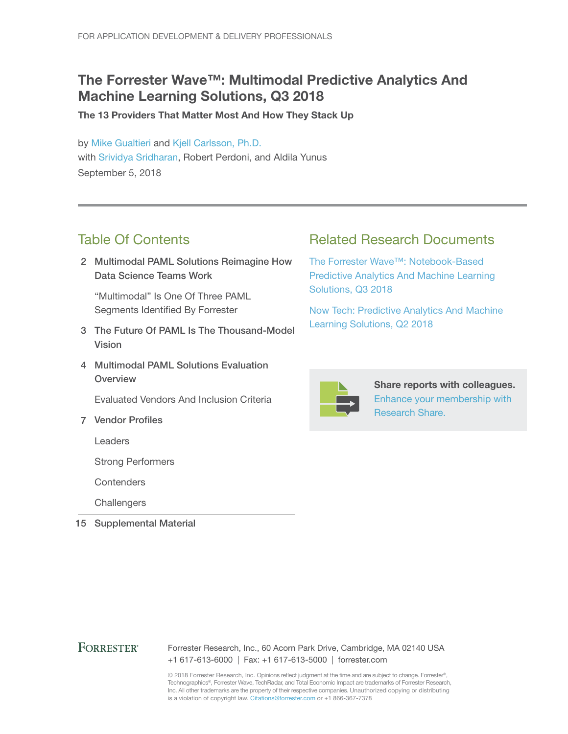## The Forrester Wave™: Multimodal Predictive Analytics And Machine Learning Solutions, Q3 2018

The 13 Providers That Matter Most And How They Stack Up

by [Mike Gualtieri](http://www.forrester.com/go?objectid=BIO1858) and [Kjell Carlsson, Ph.D.](http://www.forrester.com/go?objectid=BIO12445) with [Srividya Sridharan,](http://www.forrester.com/go?objectid=BIO2679) Robert Perdoni, and Aldila Yunus September 5, 2018

## Table Of Contents

2 Multimodal PAML Solutions Reimagine How Data Science Teams Work

"Multimodal" Is One Of Three PAML Segments Identified By Forrester

- 3 The Future Of PAML Is The Thousand-Model Vision
- 4 Multimodal PAML Solutions Evaluation **Overview**

Evaluated Vendors And Inclusion Criteria

7 Vendor Profiles

Leaders

Strong Performers

**Contenders** 

**Challengers** 

15 Supplemental Material

## Related Research Documents

[The Forrester Wave™: Notebook-Based](http://www.forrester.com/go?objectid=RES143219)  [Predictive Analytics And Machine Learning](http://www.forrester.com/go?objectid=RES143219)  [Solutions, Q3 2018](http://www.forrester.com/go?objectid=RES143219)

[Now Tech: Predictive Analytics And Machine](http://www.forrester.com/go?objectid=RES141392)  [Learning Solutions, Q2 2018](http://www.forrester.com/go?objectid=RES141392)



Share reports with colleagues. [Enhance your membership with](https://go.forrester.com/research/research-share/?utm_source=forrester_com&utm_medium=banner&utm_content=featured&utm_campaign=research_share)  [Research Share.](https://go.forrester.com/research/research-share/?utm_source=forrester_com&utm_medium=banner&utm_content=featured&utm_campaign=research_share)

### **FORRESTER®**

#### Forrester Research, Inc., 60 Acorn Park Drive, Cambridge, MA 02140 USA +1 617-613-6000 | Fax: +1 617-613-5000 | forrester.com

© 2018 Forrester Research, Inc. Opinions reflect judgment at the time and are subject to change. Forrester®, Technographics®, Forrester Wave, TechRadar, and Total Economic Impact are trademarks of Forrester Research, Inc. All other trademarks are the property of their respective companies. Unauthorized copying or distributing is a violation of copyright law. Citations@forrester.com or +1 866-367-7378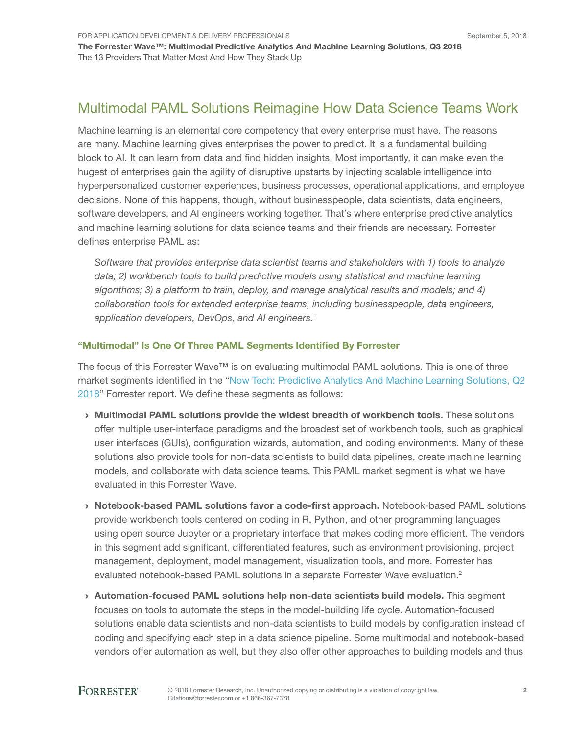## Multimodal PAML Solutions Reimagine How Data Science Teams Work

Machine learning is an elemental core competency that every enterprise must have. The reasons are many. Machine learning gives enterprises the power to predict. It is a fundamental building block to AI. It can learn from data and find hidden insights. Most importantly, it can make even the hugest of enterprises gain the agility of disruptive upstarts by injecting scalable intelligence into hyperpersonalized customer experiences, business processes, operational applications, and employee decisions. None of this happens, though, without businesspeople, data scientists, data engineers, software developers, and AI engineers working together. That's where enterprise predictive analytics and machine learning solutions for data science teams and their friends are necessary. Forrester defines enterprise PAML as:

*Software that provides enterprise data scientist teams and stakeholders with 1) tools to analyze*  data; 2) workbench tools to build predictive models using statistical and machine learning *algorithms; 3) a platform to train, deploy, and manage analytical results and models; and 4) collaboration tools for extended enterprise teams, including businesspeople, data engineers, application developers, DevOps, and AI engineers.*<sup>1</sup>

#### "Multimodal" Is One Of Three PAML Segments Identified By Forrester

The focus of this Forrester Wave™ is on evaluating multimodal PAML solutions. This is one of three market segments identified in the ["Now Tech: Predictive Analytics And Machine Learning Solutions, Q2](https://www.forrester.com/go?objectid=RES141392)  [2018](https://www.forrester.com/go?objectid=RES141392)" Forrester report. We define these segments as follows:

- › Multimodal PAML solutions provide the widest breadth of workbench tools. These solutions offer multiple user-interface paradigms and the broadest set of workbench tools, such as graphical user interfaces (GUIs), configuration wizards, automation, and coding environments. Many of these solutions also provide tools for non-data scientists to build data pipelines, create machine learning models, and collaborate with data science teams. This PAML market segment is what we have evaluated in this Forrester Wave.
- › Notebook-based PAML solutions favor a code-first approach. Notebook-based PAML solutions provide workbench tools centered on coding in R, Python, and other programming languages using open source Jupyter or a proprietary interface that makes coding more efficient. The vendors in this segment add significant, differentiated features, such as environment provisioning, project management, deployment, model management, visualization tools, and more. Forrester has evaluated notebook-based PAML solutions in a separate Forrester Wave evaluation.<sup>2</sup>
- › Automation-focused PAML solutions help non-data scientists build models. This segment focuses on tools to automate the steps in the model-building life cycle. Automation-focused solutions enable data scientists and non-data scientists to build models by configuration instead of coding and specifying each step in a data science pipeline. Some multimodal and notebook-based vendors offer automation as well, but they also offer other approaches to building models and thus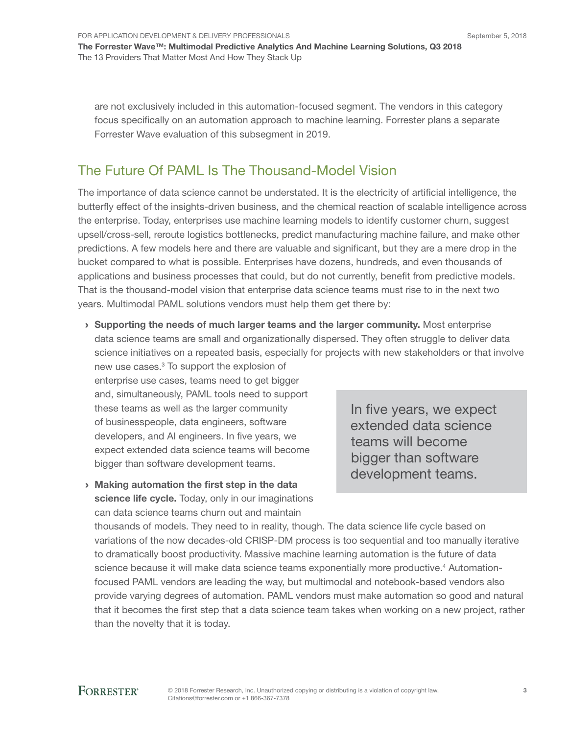for aPPLiCaTion DeveLoPMenT & DeLivery ProfeSSionaLS

The Forrester Wave™: Multimodal Predictive Analytics And Machine Learning Solutions, Q3 2018 The 13 Providers That Matter Most And How They Stack Up

are not exclusively included in this automation-focused segment. The vendors in this category focus specifically on an automation approach to machine learning. Forrester plans a separate forrester Wave evaluation of this subsegment in 2019.

## The future of PaML is The Thousand-Model vision

The importance of data science cannot be understated. It is the electricity of artificial intelligence, the butterfly effect of the insights-driven business, and the chemical reaction of scalable intelligence across the enterprise. Today, enterprises use machine learning models to identify customer churn, suggest upsell/cross-sell, reroute logistics bottlenecks, predict manufacturing machine failure, and make other predictions. A few models here and there are valuable and significant, but they are a mere drop in the bucket compared to what is possible. enterprises have dozens, hundreds, and even thousands of applications and business processes that could, but do not currently, benefit from predictive models. That is the thousand-model vision that enterprise data science teams must rise to in the next two years. Multimodal PaML solutions vendors must help them get there by:

 $\rightarrow$  Supporting the needs of much larger teams and the larger community. Most enterprise data science teams are small and organizationally dispersed. They often struggle to deliver data science initiatives on a repeated basis, especially for projects with new stakeholders or that involve

new use cases.<sup>3</sup> To support the explosion of enterprise use cases, teams need to get bigger and, simultaneously, PaML tools need to support these teams as well as the larger community of businesspeople, data engineers, software developers, and AI engineers. In five years, we expect extended data science teams will become bigger than software development teams.

 $\rightarrow$  Making automation the first step in the data science life cycle. Today, only in our imaginations can data science teams churn out and maintain

In five years, we expect extended data science teams will become bigger than software development teams.

thousands of models. They need to in reality, though. The data science life cycle based on variations of the now decades-old CriSP-DM process is too sequential and too manually iterative to dramatically boost productivity. Massive machine learning automation is the future of data science because it will make data science teams exponentially more productive.<sup>4</sup> Automationfocused PaML vendors are leading the way, but multimodal and notebook-based vendors also provide varying degrees of automation. PaML vendors must make automation so good and natural that it becomes the first step that a data science team takes when working on a new project, rather than the novelty that it is today.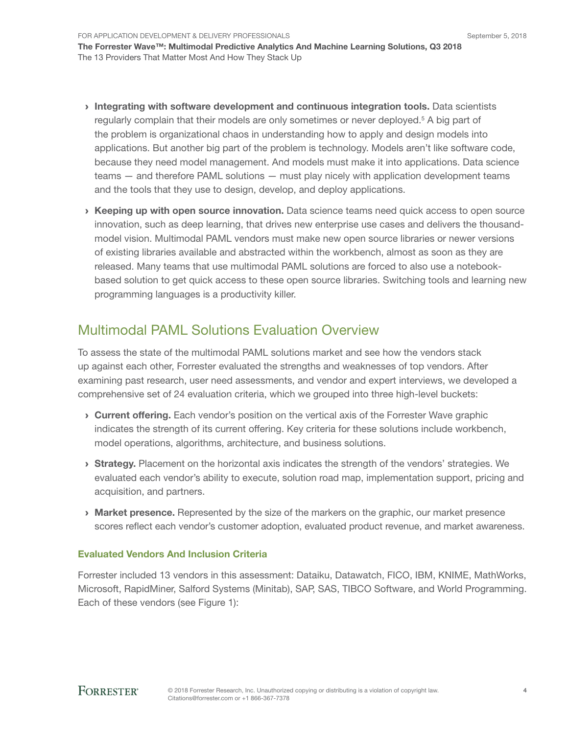- › Integrating with software development and continuous integration tools. Data scientists regularly complain that their models are only sometimes or never deployed.<sup>5</sup> A big part of the problem is organizational chaos in understanding how to apply and design models into applications. But another big part of the problem is technology. Models aren't like software code, because they need model management. And models must make it into applications. Data science teams — and therefore PAML solutions — must play nicely with application development teams and the tools that they use to design, develop, and deploy applications.
- › Keeping up with open source innovation. Data science teams need quick access to open source innovation, such as deep learning, that drives new enterprise use cases and delivers the thousandmodel vision. Multimodal PAML vendors must make new open source libraries or newer versions of existing libraries available and abstracted within the workbench, almost as soon as they are released. Many teams that use multimodal PAML solutions are forced to also use a notebookbased solution to get quick access to these open source libraries. Switching tools and learning new programming languages is a productivity killer.

## Multimodal PAML Solutions Evaluation Overview

To assess the state of the multimodal PAML solutions market and see how the vendors stack up against each other, Forrester evaluated the strengths and weaknesses of top vendors. After examining past research, user need assessments, and vendor and expert interviews, we developed a comprehensive set of 24 evaluation criteria, which we grouped into three high-level buckets:

- **Current offering.** Each vendor's position on the vertical axis of the Forrester Wave graphic indicates the strength of its current offering. Key criteria for these solutions include workbench, model operations, algorithms, architecture, and business solutions.
- **Strategy.** Placement on the horizontal axis indicates the strength of the vendors' strategies. We evaluated each vendor's ability to execute, solution road map, implementation support, pricing and acquisition, and partners.
- **Market presence.** Represented by the size of the markers on the graphic, our market presence scores reflect each vendor's customer adoption, evaluated product revenue, and market awareness.

### Evaluated Vendors And Inclusion Criteria

Forrester included 13 vendors in this assessment: Dataiku, Datawatch, FICO, IBM, KNIME, MathWorks, Microsoft, RapidMiner, Salford Systems (Minitab), SAP, SAS, TIBCO Software, and World Programming. Each of these vendors (see Figure 1):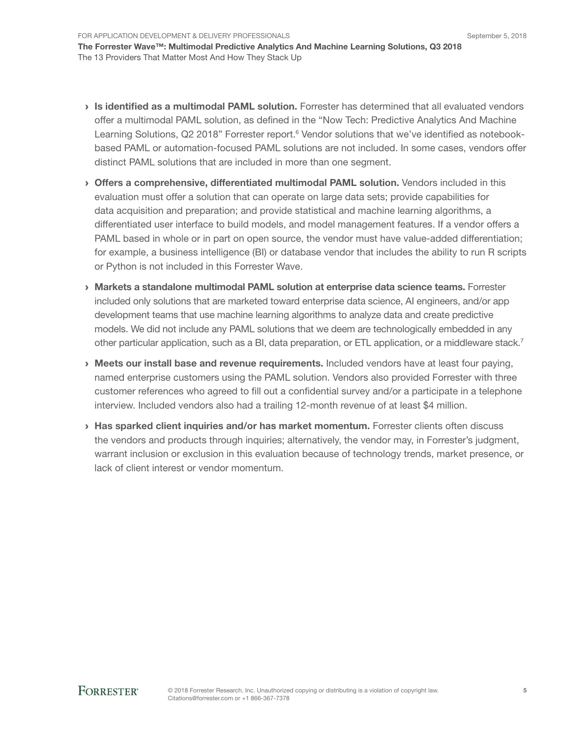- › Is identified as a multimodal PAML solution. Forrester has determined that all evaluated vendors offer a multimodal PAML solution, as defined in the "Now Tech: Predictive Analytics And Machine Learning Solutions, Q2 2018" Forrester report.<sup>6</sup> Vendor solutions that we've identified as notebookbased PAML or automation-focused PAML solutions are not included. In some cases, vendors offer distinct PAML solutions that are included in more than one segment.
- › Offers a comprehensive, differentiated multimodal PAML solution. Vendors included in this evaluation must offer a solution that can operate on large data sets; provide capabilities for data acquisition and preparation; and provide statistical and machine learning algorithms, a differentiated user interface to build models, and model management features. If a vendor offers a PAML based in whole or in part on open source, the vendor must have value-added differentiation; for example, a business intelligence (BI) or database vendor that includes the ability to run R scripts or Python is not included in this Forrester Wave.
- › Markets a standalone multimodal PAML solution at enterprise data science teams. Forrester included only solutions that are marketed toward enterprise data science, AI engineers, and/or app development teams that use machine learning algorithms to analyze data and create predictive models. We did not include any PAML solutions that we deem are technologically embedded in any other particular application, such as a BI, data preparation, or ETL application, or a middleware stack.<sup>7</sup>
- › Meets our install base and revenue requirements. Included vendors have at least four paying, named enterprise customers using the PAML solution. Vendors also provided Forrester with three customer references who agreed to fill out a confidential survey and/or a participate in a telephone interview. Included vendors also had a trailing 12-month revenue of at least \$4 million.
- › Has sparked client inquiries and/or has market momentum. Forrester clients often discuss the vendors and products through inquiries; alternatively, the vendor may, in Forrester's judgment, warrant inclusion or exclusion in this evaluation because of technology trends, market presence, or lack of client interest or vendor momentum.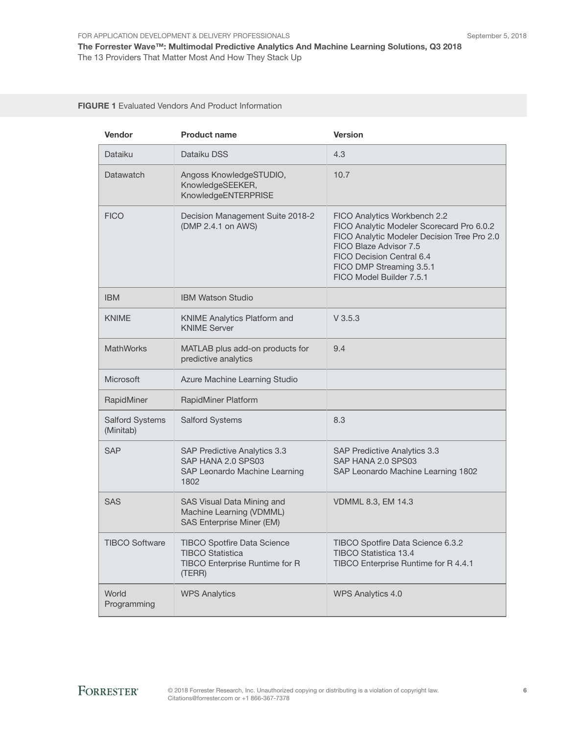#### FIGURE 1 Evaluated Vendors And Product Information

| Vendor                              | <b>Product name</b>                                                                                       | <b>Version</b>                                                                                                                                                                                                                          |
|-------------------------------------|-----------------------------------------------------------------------------------------------------------|-----------------------------------------------------------------------------------------------------------------------------------------------------------------------------------------------------------------------------------------|
| Dataiku                             | Dataiku DSS                                                                                               | 4.3                                                                                                                                                                                                                                     |
| Datawatch                           | Angoss KnowledgeSTUDIO,<br>KnowledgeSEEKER,<br>KnowledgeENTERPRISE                                        | 10.7                                                                                                                                                                                                                                    |
| <b>FICO</b>                         | Decision Management Suite 2018-2<br>(DMP 2.4.1 on AWS)                                                    | FICO Analytics Workbench 2.2<br>FICO Analytic Modeler Scorecard Pro 6.0.2<br>FICO Analytic Modeler Decision Tree Pro 2.0<br>FICO Blaze Advisor 7.5<br>FICO Decision Central 6.4<br>FICO DMP Streaming 3.5.1<br>FICO Model Builder 7.5.1 |
| <b>IBM</b>                          | <b>IBM Watson Studio</b>                                                                                  |                                                                                                                                                                                                                                         |
| <b>KNIME</b>                        | <b>KNIME Analytics Platform and</b><br><b>KNIME Server</b>                                                | $V$ 3.5.3                                                                                                                                                                                                                               |
| <b>MathWorks</b>                    | MATLAB plus add-on products for<br>predictive analytics                                                   | 9.4                                                                                                                                                                                                                                     |
| <b>Microsoft</b>                    | Azure Machine Learning Studio                                                                             |                                                                                                                                                                                                                                         |
| RapidMiner                          | RapidMiner Platform                                                                                       |                                                                                                                                                                                                                                         |
| <b>Salford Systems</b><br>(Minitab) | <b>Salford Systems</b>                                                                                    | 8.3                                                                                                                                                                                                                                     |
| <b>SAP</b>                          | SAP Predictive Analytics 3.3<br>SAP HANA 2.0 SPS03<br>SAP Leonardo Machine Learning<br>1802               | SAP Predictive Analytics 3.3<br>SAP HANA 2.0 SPS03<br>SAP Leonardo Machine Learning 1802                                                                                                                                                |
| <b>SAS</b>                          | SAS Visual Data Mining and<br>Machine Learning (VDMML)<br><b>SAS Enterprise Miner (EM)</b>                | VDMML 8.3, EM 14.3                                                                                                                                                                                                                      |
| <b>TIBCO Software</b>               | <b>TIBCO Spotfire Data Science</b><br><b>TIBCO Statistica</b><br>TIBCO Enterprise Runtime for R<br>(TERR) | TIBCO Spotfire Data Science 6.3.2<br>TIBCO Statistica 13.4<br>TIBCO Enterprise Runtime for R 4.4.1                                                                                                                                      |
| World<br>Programming                | <b>WPS Analytics</b>                                                                                      | <b>WPS Analytics 4.0</b>                                                                                                                                                                                                                |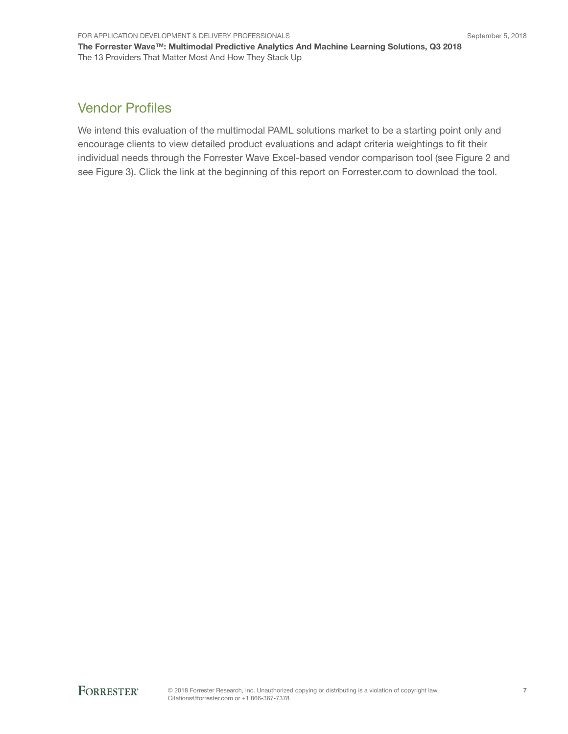## Vendor Profiles

We intend this evaluation of the multimodal PAML solutions market to be a starting point only and encourage clients to view detailed product evaluations and adapt criteria weightings to fit their individual needs through the Forrester Wave Excel-based vendor comparison tool (see Figure 2 and see Figure 3). Click the link at the beginning of this report on Forrester.com to download the tool.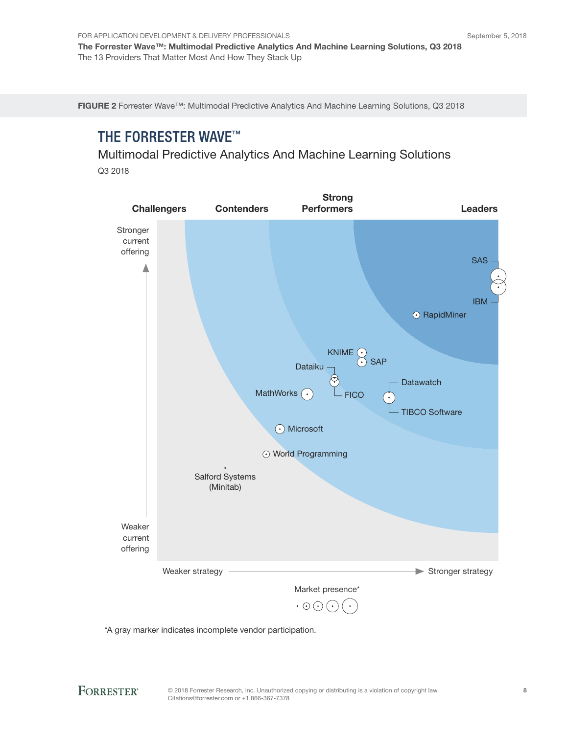For Application Development & Delivery Professionals The Forrester Wave™: Multimodal Predictive Analytics And Machine Learning Solutions, Q3 2018 The 13 Providers That Matter Most And How They Stack Up

FIGURE 2 Forrester Wave™: Multimodal Predictive Analytics And Machine Learning Solutions, Q3 2018

## THE FORRESTER WAVE™

Multimodal Predictive Analytics And Machine Learning Solutions Q3 2018

Strong Challengers Contenders Leaders Performers **Stronger** current offering SAS IBM ⊙ RapidMiner KNIME  $\overline{G}$  $\odot$  SAP Dataiku **Datawatch** MathWorks . FICO TIBCO Software **⊙** Microsoft World Programming Salford Systems (Minitab) Weaker current offering Weaker strategy **Stronger strategy** Stronger strategy Market presence\*  $\cdot \odot \odot (\cdot$ 

\*A gray marker indicates incomplete vendor participation.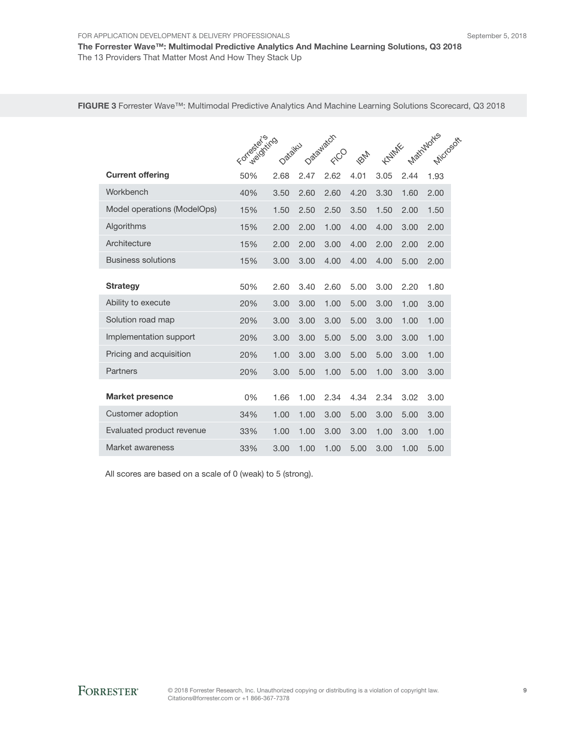FIGURE 3 Forrester Wave™: Multimodal Predictive Analytics And Machine Learning Solutions Scorecard, Q3 2018

|                             | For wealthing |         |      | Datawatch |             |       |      | Matrimuntes<br>Microsoft |
|-----------------------------|---------------|---------|------|-----------|-------------|-------|------|--------------------------|
|                             |               | Datailw |      | FICO      | <b>PONT</b> | KNIME |      |                          |
| <b>Current offering</b>     | 50%           | 2.68    | 2.47 | 2.62      | 4.01        | 3.05  | 2.44 | 1.93                     |
| Workbench                   | 40%           | 3.50    | 2.60 | 2.60      | 4.20        | 3.30  | 1.60 | 2.00                     |
| Model operations (ModelOps) | 15%           | 1.50    | 2.50 | 2.50      | 3.50        | 1.50  | 2.00 | 1.50                     |
| Algorithms                  | 15%           | 2.00    | 2.00 | 1.00      | 4.00        | 4.00  | 3.00 | 2.00                     |
| Architecture                | 15%           | 2.00    | 2.00 | 3.00      | 4.00        | 2.00  | 2.00 | 2.00                     |
| <b>Business solutions</b>   | 15%           | 3.00    | 3.00 | 4.00      | 4.00        | 4.00  | 5.00 | 2.00                     |
| <b>Strategy</b>             | 50%           | 2.60    | 3.40 | 2.60      | 5.00        | 3.00  | 2.20 | 1.80                     |
| Ability to execute          | 20%           | 3.00    | 3.00 | 1.00      | 5.00        | 3.00  | 1.00 | 3.00                     |
| Solution road map           | 20%           | 3.00    | 3.00 | 3.00      | 5.00        | 3.00  | 1.00 | 1.00                     |
| Implementation support      | 20%           | 3.00    | 3.00 | 5.00      | 5.00        | 3.00  | 3.00 | 1.00                     |
| Pricing and acquisition     | 20%           | 1.00    | 3.00 | 3.00      | 5.00        | 5.00  | 3.00 | 1.00                     |
| Partners                    | 20%           | 3.00    | 5.00 | 1.00      | 5.00        | 1.00  | 3.00 | 3.00                     |
| <b>Market presence</b>      | 0%            | 1.66    | 1.00 | 2.34      | 4.34        | 2.34  | 3.02 | 3.00                     |
| Customer adoption           | 34%           | 1.00    | 1.00 | 3.00      | 5.00        | 3.00  | 5.00 | 3.00                     |
| Evaluated product revenue   | 33%           | 1.00    | 1.00 | 3.00      | 3.00        | 1.00  | 3.00 | 1.00                     |
| Market awareness            | 33%           | 3.00    | 1.00 | 1.00      | 5.00        | 3.00  | 1.00 | 5.00                     |

All scores are based on a scale of 0 (weak) to 5 (strong).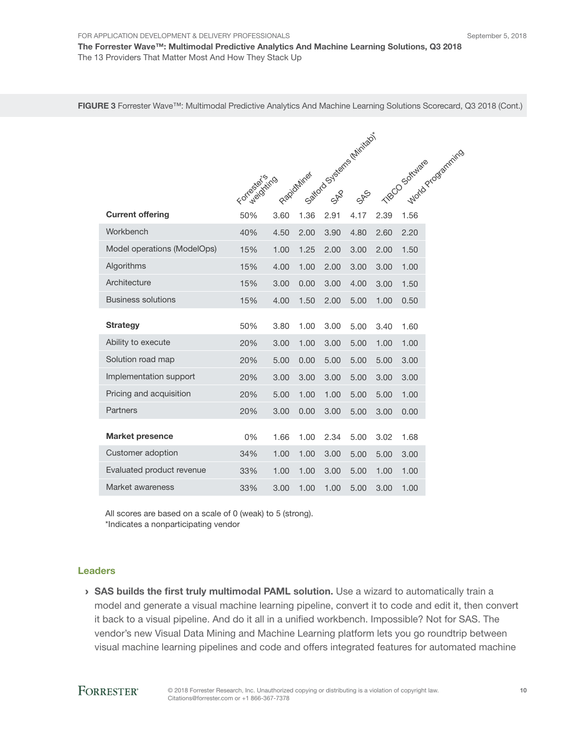FIGURE 3 Forrester Wave™: Multimodal Predictive Analytics And Machine Learning Solutions Scorecard, Q3 2018 (Cont.)

|                             |                |      | Sattord Stseeme Minitago<br>1 MacO Sokivage overstrints |      |      |      |      |
|-----------------------------|----------------|------|---------------------------------------------------------|------|------|------|------|
|                             |                |      |                                                         |      |      |      |      |
|                             | Forcestoriting |      | Rapidnines                                              |      |      |      |      |
| <b>Current offering</b>     | 50%            | 3.60 | 1.36                                                    | 2.91 | 4.17 | 2.39 |      |
| Workbench                   | 40%            | 4.50 | 2.00                                                    | 3.90 | 4.80 | 2.60 | 2.20 |
| Model operations (ModelOps) | 15%            | 1.00 | 1.25                                                    | 2.00 | 3.00 | 2.00 | 1.50 |
| Algorithms                  | 15%            | 4.00 | 1.00                                                    | 2.00 | 3.00 | 3.00 | 1.00 |
| Architecture                | 15%            | 3.00 | 0.00                                                    | 3.00 | 4.00 | 3.00 | 1.50 |
| <b>Business solutions</b>   | 15%            | 4.00 | 1.50                                                    | 2.00 | 5.00 | 1.00 | 0.50 |
| <b>Strategy</b>             | 50%            | 3.80 | 1.00                                                    | 3.00 | 5.00 | 3.40 | 1.60 |
| Ability to execute          | 20%            | 3.00 | 1.00                                                    | 3.00 | 5.00 | 1.00 | 1.00 |
| Solution road map           | 20%            | 5.00 | 0.00                                                    | 5.00 | 5.00 | 5.00 | 3.00 |
| Implementation support      | 20%            | 3.00 | 3.00                                                    | 3.00 | 5.00 | 3.00 | 3.00 |
| Pricing and acquisition     | 20%            | 5.00 | 1.00                                                    | 1.00 | 5.00 | 5.00 | 1.00 |
| Partners                    | 20%            | 3.00 | 0.00                                                    | 3.00 | 5.00 | 3.00 | 0.00 |
|                             |                |      |                                                         |      |      |      |      |
| <b>Market presence</b>      | 0%             | 1.66 | 1.00                                                    | 2.34 | 5.00 | 3.02 | 1.68 |
| Customer adoption           | 34%            | 1.00 | 1.00                                                    | 3.00 | 5.00 | 5.00 | 3.00 |
| Evaluated product revenue   | 33%            | 1.00 | 1.00                                                    | 3.00 | 5.00 | 1.00 | 1.00 |
| Market awareness            | 33%            | 3.00 | 1.00                                                    | 1.00 | 5.00 | 3.00 | 1.00 |

All scores are based on a scale of 0 (weak) to 5 (strong). \*Indicates a nonparticipating vendor

#### Leaders

› SAS builds the first truly multimodal PAML solution. Use a wizard to automatically train a model and generate a visual machine learning pipeline, convert it to code and edit it, then convert it back to a visual pipeline. And do it all in a unified workbench. Impossible? Not for SAS. The vendor's new Visual Data Mining and Machine Learning platform lets you go roundtrip between visual machine learning pipelines and code and offers integrated features for automated machine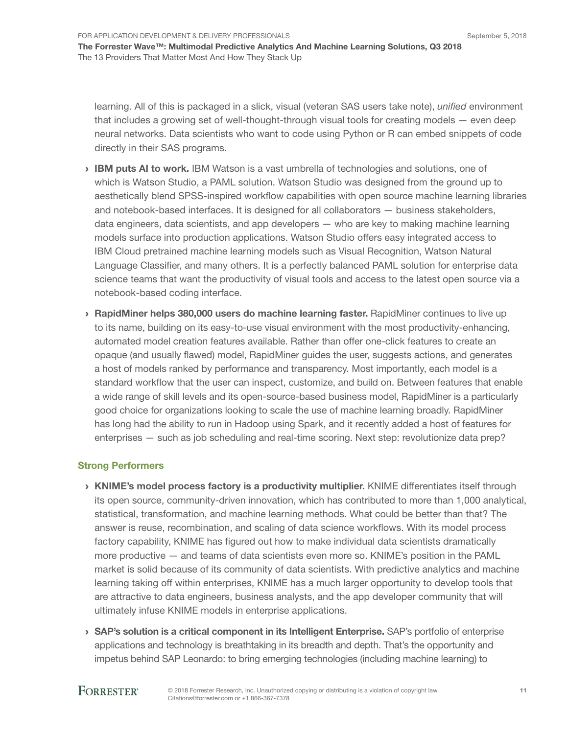learning. All of this is packaged in a slick, visual (veteran SAS users take note), *unified* environment that includes a growing set of well-thought-through visual tools for creating models — even deep neural networks. Data scientists who want to code using Python or R can embed snippets of code directly in their SAS programs.

- › IBM puts AI to work. IBM Watson is a vast umbrella of technologies and solutions, one of which is Watson Studio, a PAML solution. Watson Studio was designed from the ground up to aesthetically blend SPSS-inspired workflow capabilities with open source machine learning libraries and notebook-based interfaces. It is designed for all collaborators — business stakeholders, data engineers, data scientists, and app developers — who are key to making machine learning models surface into production applications. Watson Studio offers easy integrated access to IBM Cloud pretrained machine learning models such as Visual Recognition, Watson Natural Language Classifier, and many others. It is a perfectly balanced PAML solution for enterprise data science teams that want the productivity of visual tools and access to the latest open source via a notebook-based coding interface.
- › RapidMiner helps 380,000 users do machine learning faster. RapidMiner continues to live up to its name, building on its easy-to-use visual environment with the most productivity-enhancing, automated model creation features available. Rather than offer one-click features to create an opaque (and usually flawed) model, RapidMiner guides the user, suggests actions, and generates a host of models ranked by performance and transparency. Most importantly, each model is a standard workflow that the user can inspect, customize, and build on. Between features that enable a wide range of skill levels and its open-source-based business model, RapidMiner is a particularly good choice for organizations looking to scale the use of machine learning broadly. RapidMiner has long had the ability to run in Hadoop using Spark, and it recently added a host of features for enterprises — such as job scheduling and real-time scoring. Next step: revolutionize data prep?

#### Strong Performers

- › KNIME's model process factory is a productivity multiplier. KNIME differentiates itself through its open source, community-driven innovation, which has contributed to more than 1,000 analytical, statistical, transformation, and machine learning methods. What could be better than that? The answer is reuse, recombination, and scaling of data science workflows. With its model process factory capability, KNIME has figured out how to make individual data scientists dramatically more productive — and teams of data scientists even more so. KNIME's position in the PAML market is solid because of its community of data scientists. With predictive analytics and machine learning taking off within enterprises, KNIME has a much larger opportunity to develop tools that are attractive to data engineers, business analysts, and the app developer community that will ultimately infuse KNIME models in enterprise applications.
- › SAP's solution is a critical component in its Intelligent Enterprise. SAP's portfolio of enterprise applications and technology is breathtaking in its breadth and depth. That's the opportunity and impetus behind SAP Leonardo: to bring emerging technologies (including machine learning) to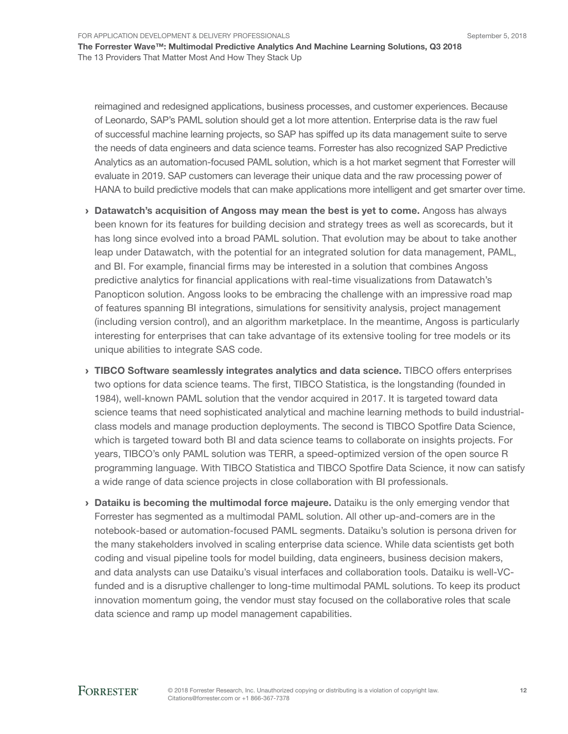For Application Development & Delivery Professionals

The Forrester Wave™: Multimodal Predictive Analytics And Machine Learning Solutions, Q3 2018 The 13 Providers That Matter Most And How They Stack Up

reimagined and redesigned applications, business processes, and customer experiences. Because of Leonardo, SAP's PAML solution should get a lot more attention. Enterprise data is the raw fuel of successful machine learning projects, so SAP has spiffed up its data management suite to serve the needs of data engineers and data science teams. Forrester has also recognized SAP Predictive Analytics as an automation-focused PAML solution, which is a hot market segment that Forrester will evaluate in 2019. SAP customers can leverage their unique data and the raw processing power of HANA to build predictive models that can make applications more intelligent and get smarter over time.

- › Datawatch's acquisition of Angoss may mean the best is yet to come. Angoss has always been known for its features for building decision and strategy trees as well as scorecards, but it has long since evolved into a broad PAML solution. That evolution may be about to take another leap under Datawatch, with the potential for an integrated solution for data management, PAML, and BI. For example, financial firms may be interested in a solution that combines Angoss predictive analytics for financial applications with real-time visualizations from Datawatch's Panopticon solution. Angoss looks to be embracing the challenge with an impressive road map of features spanning BI integrations, simulations for sensitivity analysis, project management (including version control), and an algorithm marketplace. In the meantime, Angoss is particularly interesting for enterprises that can take advantage of its extensive tooling for tree models or its unique abilities to integrate SAS code.
- **IIBCO Software seamlessly integrates analytics and data science.** TIBCO offers enterprises two options for data science teams. The first, TIBCO Statistica, is the longstanding (founded in 1984), well-known PAML solution that the vendor acquired in 2017. It is targeted toward data science teams that need sophisticated analytical and machine learning methods to build industrialclass models and manage production deployments. The second is TIBCO Spotfire Data Science, which is targeted toward both BI and data science teams to collaborate on insights projects. For years, TIBCO's only PAML solution was TERR, a speed-optimized version of the open source R programming language. With TIBCO Statistica and TIBCO Spotfire Data Science, it now can satisfy a wide range of data science projects in close collaboration with BI professionals.
- $\rightarrow$  Dataiku is becoming the multimodal force majeure. Dataiku is the only emerging vendor that Forrester has segmented as a multimodal PAML solution. All other up-and-comers are in the notebook-based or automation-focused PAML segments. Dataiku's solution is persona driven for the many stakeholders involved in scaling enterprise data science. While data scientists get both coding and visual pipeline tools for model building, data engineers, business decision makers, and data analysts can use Dataiku's visual interfaces and collaboration tools. Dataiku is well-VCfunded and is a disruptive challenger to long-time multimodal PAML solutions. To keep its product innovation momentum going, the vendor must stay focused on the collaborative roles that scale data science and ramp up model management capabilities.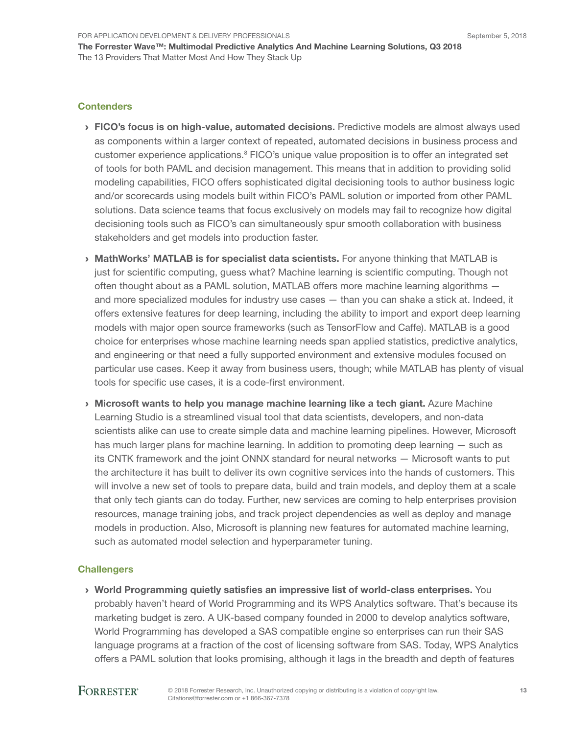#### **Contenders**

- **> FICO's focus is on high-value, automated decisions.** Predictive models are almost always used as components within a larger context of repeated, automated decisions in business process and customer experience applications.<sup>8</sup> FICO's unique value proposition is to offer an integrated set of tools for both PAML and decision management. This means that in addition to providing solid modeling capabilities, FICO offers sophisticated digital decisioning tools to author business logic and/or scorecards using models built within FICO's PAML solution or imported from other PAML solutions. Data science teams that focus exclusively on models may fail to recognize how digital decisioning tools such as FICO's can simultaneously spur smooth collaboration with business stakeholders and get models into production faster.
- › MathWorks' MATLAB is for specialist data scientists. For anyone thinking that MATLAB is just for scientific computing, guess what? Machine learning is scientific computing. Though not often thought about as a PAML solution, MATLAB offers more machine learning algorithms and more specialized modules for industry use cases — than you can shake a stick at. Indeed, it offers extensive features for deep learning, including the ability to import and export deep learning models with major open source frameworks (such as TensorFlow and Caffe). MATLAB is a good choice for enterprises whose machine learning needs span applied statistics, predictive analytics, and engineering or that need a fully supported environment and extensive modules focused on particular use cases. Keep it away from business users, though; while MATLAB has plenty of visual tools for specific use cases, it is a code-first environment.
- › Microsoft wants to help you manage machine learning like a tech giant. Azure Machine Learning Studio is a streamlined visual tool that data scientists, developers, and non-data scientists alike can use to create simple data and machine learning pipelines. However, Microsoft has much larger plans for machine learning. In addition to promoting deep learning — such as its CNTK framework and the joint ONNX standard for neural networks — Microsoft wants to put the architecture it has built to deliver its own cognitive services into the hands of customers. This will involve a new set of tools to prepare data, build and train models, and deploy them at a scale that only tech giants can do today. Further, new services are coming to help enterprises provision resources, manage training jobs, and track project dependencies as well as deploy and manage models in production. Also, Microsoft is planning new features for automated machine learning, such as automated model selection and hyperparameter tuning.

#### **Challengers**

› World Programming quietly satisfies an impressive list of world-class enterprises. You probably haven't heard of World Programming and its WPS Analytics software. That's because its marketing budget is zero. A UK-based company founded in 2000 to develop analytics software, World Programming has developed a SAS compatible engine so enterprises can run their SAS language programs at a fraction of the cost of licensing software from SAS. Today, WPS Analytics offers a PAML solution that looks promising, although it lags in the breadth and depth of features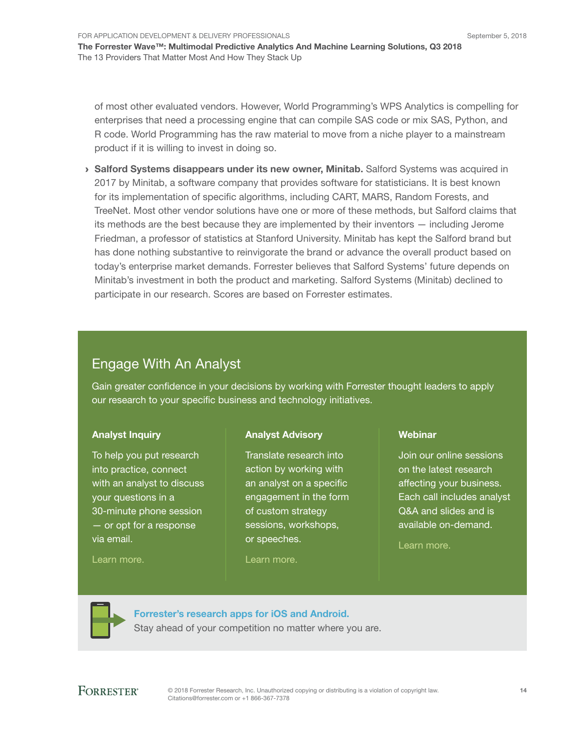of most other evaluated vendors. However, World Programming's WPS Analytics is compelling for enterprises that need a processing engine that can compile SAS code or mix SAS, Python, and R code. World Programming has the raw material to move from a niche player to a mainstream product if it is willing to invest in doing so.

› Salford Systems disappears under its new owner, Minitab. Salford Systems was acquired in 2017 by Minitab, a software company that provides software for statisticians. It is best known for its implementation of specific algorithms, including CART, MARS, Random Forests, and TreeNet. Most other vendor solutions have one or more of these methods, but Salford claims that its methods are the best because they are implemented by their inventors — including Jerome Friedman, a professor of statistics at Stanford University. Minitab has kept the Salford brand but has done nothing substantive to reinvigorate the brand or advance the overall product based on today's enterprise market demands. Forrester believes that Salford Systems' future depends on Minitab's investment in both the product and marketing. Salford Systems (Minitab) declined to participate in our research. Scores are based on Forrester estimates.

## Engage With An Analyst

Gain greater confidence in your decisions by working with Forrester thought leaders to apply our research to your specific business and technology initiatives.

### Analyst Inquiry

To help you put research into practice, connect with an analyst to discuss your questions in a 30-minute phone session — or opt for a response via email.

#### Analyst Advisory

Translate research into action by working with an analyst on a specific engagement in the form of custom strategy sessions, workshops, or speeches.

## **Webinar**

Join our online sessions on the latest research affecting your business. Each call includes analyst Q&A and slides and is available on-demand.

[Learn more](https://www.forrester.com/events?N=10006+5025).

[Learn more.](http://forr.com/1einFan)

[Forrester's research apps for iOS and Android.](http://www.forrester.com/app) Stay ahead of your competition no matter where you are.

[Learn more.](http://www.forrester.com/Analyst-Advisory/-/E-MPL172)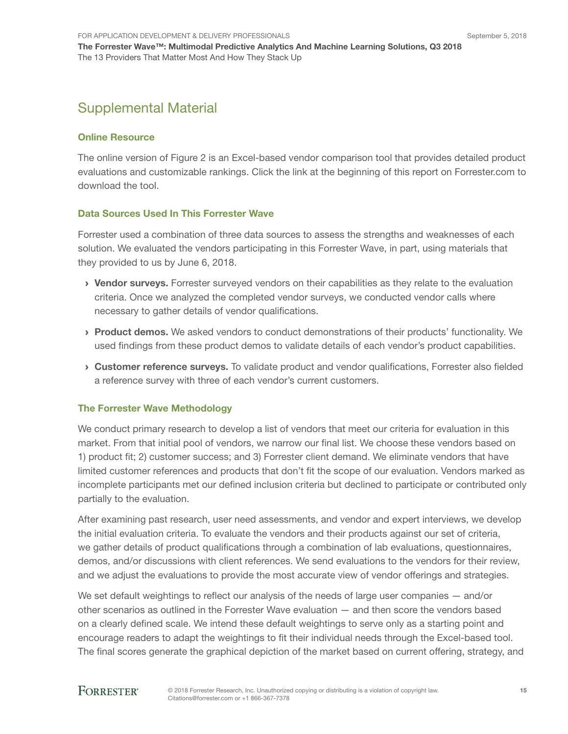## Supplemental Material

#### Online Resource

The online version of Figure 2 is an Excel-based vendor comparison tool that provides detailed product evaluations and customizable rankings. Click the link at the beginning of this report on Forrester.com to download the tool.

#### Data Sources Used In This Forrester Wave

Forrester used a combination of three data sources to assess the strengths and weaknesses of each solution. We evaluated the vendors participating in this Forrester Wave, in part, using materials that they provided to us by June 6, 2018.

- › Vendor surveys. Forrester surveyed vendors on their capabilities as they relate to the evaluation criteria. Once we analyzed the completed vendor surveys, we conducted vendor calls where necessary to gather details of vendor qualifications.
- › Product demos. We asked vendors to conduct demonstrations of their products' functionality. We used findings from these product demos to validate details of each vendor's product capabilities.
- › Customer reference surveys. To validate product and vendor qualifications, Forrester also fielded a reference survey with three of each vendor's current customers.

#### The Forrester Wave Methodology

We conduct primary research to develop a list of vendors that meet our criteria for evaluation in this market. From that initial pool of vendors, we narrow our final list. We choose these vendors based on 1) product fit; 2) customer success; and 3) Forrester client demand. We eliminate vendors that have limited customer references and products that don't fit the scope of our evaluation. Vendors marked as incomplete participants met our defined inclusion criteria but declined to participate or contributed only partially to the evaluation.

After examining past research, user need assessments, and vendor and expert interviews, we develop the initial evaluation criteria. To evaluate the vendors and their products against our set of criteria, we gather details of product qualifications through a combination of lab evaluations, questionnaires, demos, and/or discussions with client references. We send evaluations to the vendors for their review, and we adjust the evaluations to provide the most accurate view of vendor offerings and strategies.

We set default weightings to reflect our analysis of the needs of large user companies  $-$  and/or other scenarios as outlined in the Forrester Wave evaluation — and then score the vendors based on a clearly defined scale. We intend these default weightings to serve only as a starting point and encourage readers to adapt the weightings to fit their individual needs through the Excel-based tool. The final scores generate the graphical depiction of the market based on current offering, strategy, and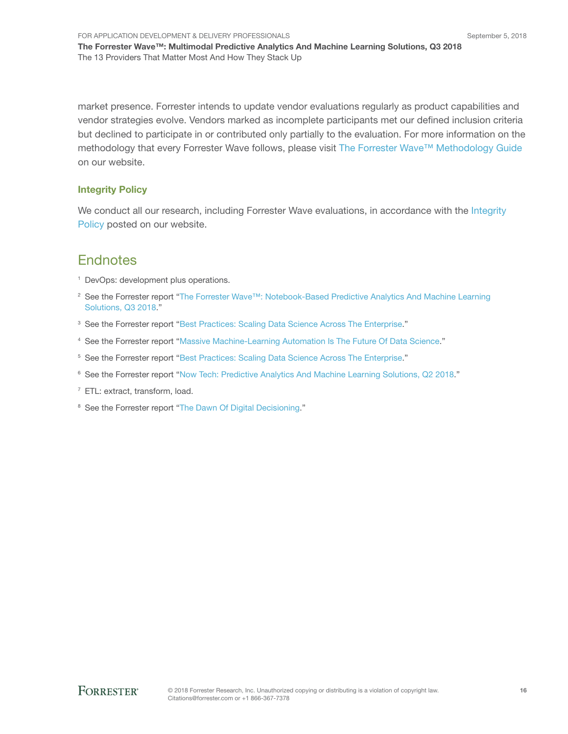For Application Development & Delivery Professionals The Forrester Wave™: Multimodal Predictive Analytics And Machine Learning Solutions, Q3 2018 The 13 Providers That Matter Most And How They Stack Up

market presence. Forrester intends to update vendor evaluations regularly as product capabilities and vendor strategies evolve. Vendors marked as incomplete participants met our defined inclusion criteria but declined to participate in or contributed only partially to the evaluation. For more information on the methodology that every Forrester Wave follows, please visit [The Forrester Wave™ Methodology Guide](https://www.forrester.com/marketing/policies/forrester-wave-methodology.html) on our website.

#### Integrity Policy

We conduct all our research, including Forrester Wave evaluations, in accordance with the Integrity [Policy](http://www.forrester.com/marketing/policies/integrity-policy.html) posted on our website.

### **Endnotes**

- <sup>1</sup> DevOps: development plus operations.
- <sup>2</sup> See the Forrester report "[The Forrester Wave™: Notebook-Based Predictive Analytics And Machine Learning](http://www.forrester.com/go?objectid=RES143219)  [Solutions, Q3 2018](http://www.forrester.com/go?objectid=RES143219)."
- <sup>3</sup> See the Forrester report "[Best Practices: Scaling Data Science Across The Enterprise.](http://www.forrester.com/go?objectid=RES139796)"
- <sup>4</sup> See the Forrester report "[Massive Machine-Learning Automation Is The Future Of Data Science.](http://www.forrester.com/go?objectid=RES122683)"
- <sup>5</sup> See the Forrester report "[Best Practices: Scaling Data Science Across The Enterprise.](http://www.forrester.com/go?objectid=RES139796)"
- <sup>6</sup> See the Forrester report "[Now Tech: Predictive Analytics And Machine Learning Solutions, Q2 2018.](http://www.forrester.com/go?objectid=RES141392)"
- 7 ETL: extract, transform, load.
- <sup>8</sup> See the Forrester report "[The Dawn Of Digital Decisioning](http://www.forrester.com/go?objectid=RES141568)."